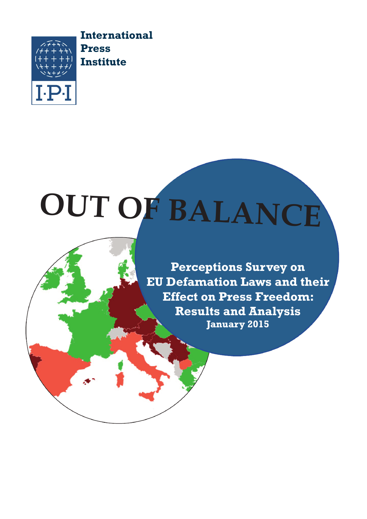

**International Press Institute**

# **OUT OF BALANCE**

**Perceptions Survey on EU Defamation Laws and their Effect on Press Freedom: Results and Analysis January 2015**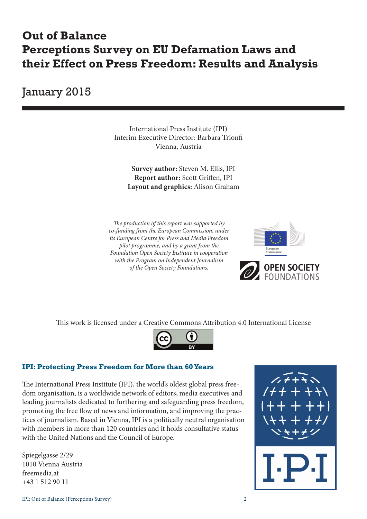## **Out of Balance Perceptions Survey on EU Defamation Laws and their Effect on Press Freedom: Results and Analysis**

January 2015

International Press Institute (IPI) Interim Executive Director: Barbara Trionfi Vienna, Austria

> **Survey author:** Steven M. Ellis, IPI **Report author:** Scott Griffen, IPI **Layout and graphics:** Alison Graham

*The production of this report was supported by co-funding from the European Commission, under its European Centre for Press and Media Freedom pilot programme, and by a grant from the Foundation Open Society Institute in cooperation with the Program on Independent Journalism of the Open Society Foundations.* 



This work is licensed under a Creative Commons Attribution 4.0 International License



#### **IPI: Protecting Press Freedom for More than 60 Years**

The International Press Institute (IPI), the world's oldest global press freedom organisation, is a worldwide network of editors, media executives and leading journalists dedicated to furthering and safeguarding press freedom, promoting the free flow of news and information, and improving the practices of journalism. Based in Vienna, IPI is a politically neutral organisation with members in more than 120 countries and it holds consultative status with the United Nations and the Council of Europe.

Spiegelgasse 2/29 1010 Vienna Austria freemedia.at +43 1 512 90 11

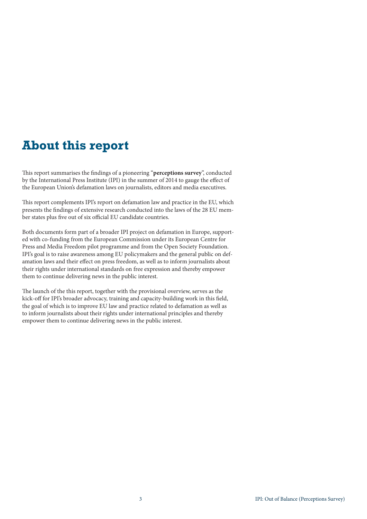## **About this report**

This report summarises the findings of a pioneering "**perceptions survey**", conducted by the International Press Institute (IPI) in the summer of 2014 to gauge the effect of the European Union's defamation laws on journalists, editors and media executives.

This report complements IPI's report on defamation law and practice in the EU, which presents the findings of extensive research conducted into the laws of the 28 EU member states plus five out of six official EU candidate countries.

Both documents form part of a broader IPI project on defamation in Europe, supported with co-funding from the European Commission under its European Centre for Press and Media Freedom pilot programme and from the Open Society Foundation. IPI's goal is to raise awareness among EU policymakers and the general public on defamation laws and their effect on press freedom, as well as to inform journalists about their rights under international standards on free expression and thereby empower them to continue delivering news in the public interest.

The launch of the this report, together with the provisional overview, serves as the kick-off for IPI's broader advocacy, training and capacity-building work in this field, the goal of which is to improve EU law and practice related to defamation as well as to inform journalists about their rights under international principles and thereby empower them to continue delivering news in the public interest.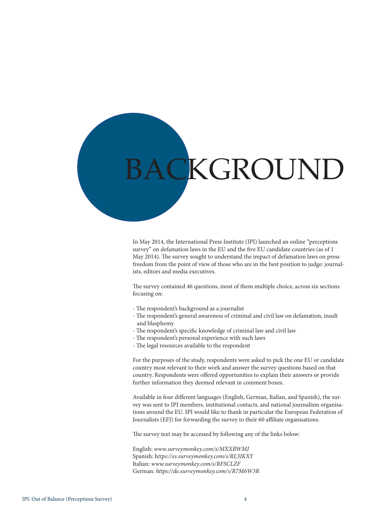

In May 2014, the International Press Institute (IPI) launched an online "perceptions survey" on defamation laws in the EU and the five EU candidate countries (as of 1 May 2014). The survey sought to understand the impact of defamation laws on press freedom from the point of view of those who are in the best position to judge: journalists, editors and media executives.

The survey contained 46 questions, most of them multiple choice, across six sections focusing on:

- The respondent's background as a journalist
- The respondent's general awareness of criminal and civil law on defamation, insult and blasphemy
- The respondent's specific knowledge of criminal law and civil law
- The respondent's personal experience with such laws
- The legal resources available to the respondent

For the purposes of the study, respondents were asked to pick the one EU or candidate country most relevant to their work and answer the survey questions based on that country. Respondents were offered opportunities to explain their answers or provide further information they deemed relevant in comment boxes.

Available in four different languages (English, German, Italian, and Spanish), the survey was sent to IPI members, institutional contacts, and national journalism organisations around the EU. IPI would like to thank in particular the European Federation of Journalists (EFJ) for forwarding the survey to their 60 affiliate organisations.

The survey text may be accessed by following any of the links below:

English: *www.surveymonkey.com/s/MXXBWMJ* Spanish: h*ttps://es.surveymonkey.com/s/RL3JKXY* Italian: *www.surveymonkey.com/s/RFSCLZF* German: *https://de.surveymonkey.com/s/R7M6W3R*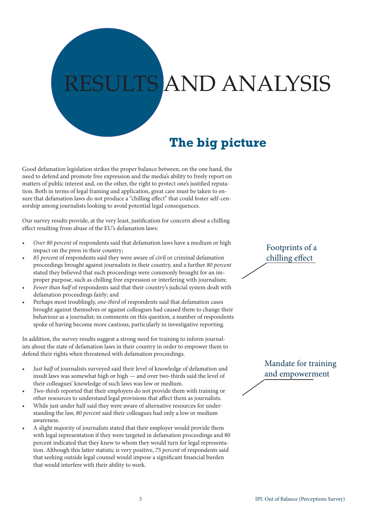## **AND ANALYSIS**

## **The big picture**

Good defamation legislation strikes the proper balance between, on the one hand, the need to defend and promote free expression and the media's ability to freely report on matters of public interest and, on the other, the right to protect one's justified reputation. Both in terms of legal framing and application, great care must be taken to ensure that defamation laws do not produce a "chilling effect" that could foster self-censorship among journalists looking to avoid potential legal consequences.

Our survey results provide, at the very least, justification for concern about a chilling effect resulting from abuse of the EU's defamation laws:

- *Over 80 percent* of respondents said that defamation laws have a medium or high impact on the press in their country;
- 85 percent of respondents said they were aware of civil or criminal defamation proceedings brought against journalists in their country, and a further *80 percent*  stated they believed that such proceedings were commonly brought for an improper purpose, such as chilling free expression or interfering with journalism;
- *Fewer than half* of respondents said that their country's judicial system dealt with defamation proceedings fairly; and
- Perhaps most troublingly, *one-third* of respondents said that defamation cases brought against themselves or against colleagues had caused them to change their behaviour as a journalist; in comments on this question, a number of respondents spoke of having become more cautious, particularly in investigative reporting.

In addition, the survey results suggest a strong need for training to inform journalists about the state of defamation laws in their country in order to empower them to defend their rights when threatened with defamation proceedings.

- *Just half* of journalists surveyed said their level of knowledge of defamation and insult laws was somewhat high or high — and over two-thirds said the level of their colleagues' knowledge of such laws was low or medium.
- *Two-thirds* reported that their employers do not provide them with training or other resources to understand legal provisions that affect them as journalists.
- While just under half said they were aware of alternative resources for understanding the law, *80 percent* said their colleagues had only a low or medium awareness.
- A slight majority of journalists stated that their employer would provide them with legal representation if they were targeted in defamation proceedings and 80 percent indicated that they knew to whom they would turn for legal representation. Although this latter statistic is very positive, *75 percent* of respondents said that seeking outside legal counsel would impose a significant financial burden that would interfere with their ability to work.

Footprints of a chilling effect

Mandate for training and empowerment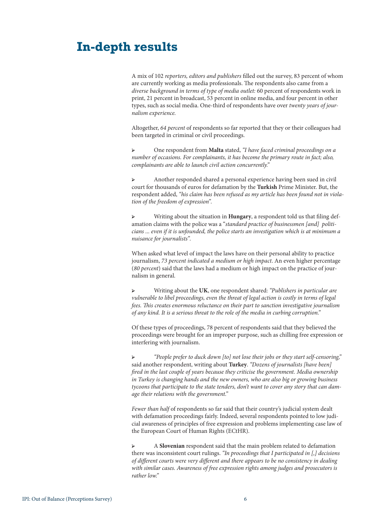### **In-depth results**

A mix of 102 *reporters, editors and publishers* filled out the survey, 83 percent of whom are currently working as media professionals. The respondents also came from a *diverse background in terms of type of media outlet:* 60 percent of respondents work in print, 21 percent in broadcast, 53 percent in online media, and four percent in other types, such as social media. One-third of respondents have over *twenty years of journalism experience.* 

Altogether, *64 percent* of respondents so far reported that they or their colleagues had been targeted in criminal or civil proceedings.

➢ One respondent from **Malta** stated, *"I have faced criminal proceedings on a number of occasions. For complainants, it has become the primary route in fact; also, complainants are able to launch civil action concurrently."*

➢ Another responded shared a personal experience having been sued in civil court for thousands of euros for defamation by the **Turkish** Prime Minister. But, the respondent added, *"his claim has been refused as my article has been found not in violation of the freedom of expression".*

➢ Writing about the situation in **Hungary**, a respondent told us that filing defamation claims with the police was a "*standard practice of businessmen [and] politicians ... even if it is unfounded, the police starts an investigation which is at minimum a nuisance for journalists".*

When asked what level of impact the laws have on their personal ability to practice journalism, *73 percent indicated a medium or high impact*. An even higher percentage (*80 percent*) said that the laws had a medium or high impact on the practice of journalism in general.

➢ Writing about the **UK**, one respondent shared: *"Publishers in particular are vulnerable to libel proceedings, even the threat of legal action is costly in terms of legal fees. This creates enormous reluctance on their part to sanction investigative journalism of any kind. It is a serious threat to the role of the media in curbing corruption."*

Of these types of proceedings, 78 percent of respondents said that they believed the proceedings were brought for an improper purpose, such as chilling free expression or interfering with journalism.

➢ *"People prefer to duck down [to] not lose their jobs or they start self-censoring,"*  said another respondent, writing about **Turkey**. *"Dozens of journalists [have been] fired in the last couple of years because they criticise the government. Media ownership in Turkey is changing hands and the new owners, who are also big or growing business tycoons that participate to the state tenders, don't want to cover any story that can damage their relations with the government."*

*Fewer than half* of respondents so far said that their country's judicial system dealt with defamation proceedings fairly. Indeed, several respondents pointed to low judicial awareness of principles of free expression and problems implementing case law of the European Court of Human Rights (ECtHR).

➢ A **Slovenian** respondent said that the main problem related to defamation there was inconsistent court rulings. *"In proceedings that I participated in [,] decisions of different courts were very different and there appears to be no consistency in dealing with similar cases. Awareness of free expression rights among judges and prosecutors is rather low."*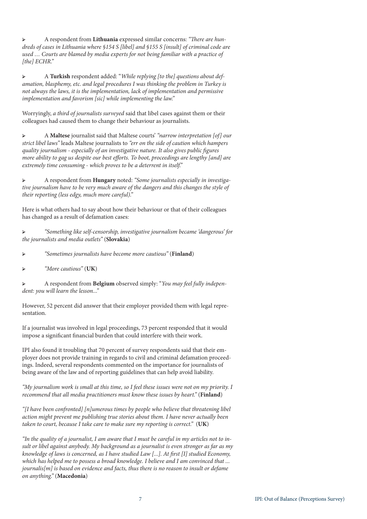➢ A respondent from **Lithuania** expressed similar concerns: *"There are hundreds of cases in Lithuania where §154 S [libel] and §155 S [insult] of criminal code are used … Courts are blamed by media experts for not being familiar with a practice of [the] ECHR."*

➢ A **Turkish** respondent added: "*While replying [to the] questions about defamation, blasphemy, etc. and legal procedures I was thinking the problem in Turkey is not always the laws, it is the implementation, lack of implementation and permissive implementation and favorism [sic] while implementing the law."*

Worryingly, *a third of journalists surveyed* said that libel cases against them or their colleagues had caused them to change their behaviour as journalists.

➢ A **Maltese** journalist said that Maltese courts' *"narrow interpretation [of] our strict libel laws"* leads Maltese journalists to *"err on the side of caution which hampers quality journalism - especially of an investigative nature. It also gives public figures more ability to gag us despite our best efforts. To boot, proceedings are lengthy [and] are extremely time consuming - which proves to be a deterrent in itself."*

➢ A respondent from **Hungary** noted: *"Some journalists especially in investigative journalism have to be very much aware of the dangers and this changes the style of their reporting (less edgy, much more careful)."*

Here is what others had to say about how their behaviour or that of their colleagues has changed as a result of defamation cases:

➢ *"Something like self-censorship, investigative journalism became 'dangerous' for the journalists and media outlets"* (**Slovakia**)

➢ *"Sometimes journalists have become more cautious"* (**Finland**)

➢ *"More cautious"* (**UK**)

➢ A respondent from **Belgium** observed simply: "*You may feel fully independent: you will learn the lesson..."*

However, 52 percent did answer that their employer provided them with legal representation.

If a journalist was involved in legal proceedings, 73 percent responded that it would impose a significant financial burden that could interfere with their work.

IPI also found it troubling that 70 percent of survey respondents said that their employer does not provide training in regards to civil and criminal defamation proceedings. Indeed, several respondents commented on the importance for journalists of being aware of the law and of reporting guidelines that can help avoid liability.

*"My journalism work is small at this time, so I feel these issues were not on my priority. I recommend that all media practitioners must know these issues by heart."* (**Finland**)

*"[I have been confronted] [n]umerous times by people who believe that threatening libel action might prevent me publishing true stories about them. I have never actually been taken to court, because I take care to make sure my reporting is correct."* (**UK**)

*"In the quality of a journalist, I am aware that I must be careful in my articles not to insult or libel against anybody. My background as a journalist is even stronger as far as my knowledge of laws is concerned, as I have studied Law [...]. At first [I] studied Economy, which has helped me to possess a broad knowledge. I believe and I am convinced that ... journalis[m] is based on evidence and facts, thus there is no reason to insult or defame on anything."* (**Macedonia**)